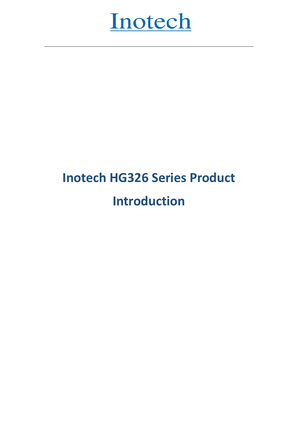

# **Inotech HG326 Series Product Introduction**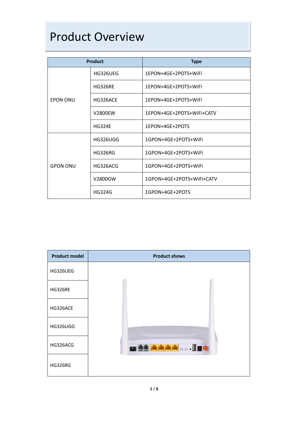#### Product Overview

| <b>Product</b>  |                 | <b>Type</b>               |  |
|-----------------|-----------------|---------------------------|--|
|                 | HG326UEG        | 1EPON+4GE+2POTS+WiFi      |  |
|                 | <b>HG326RE</b>  | 1EPON+4GE+2POTS+WiFi      |  |
| <b>EPON ONU</b> | HG326ACE        | 1EPON+4GE+2POTS+WiFi      |  |
|                 | V2800EW         | 1EPON+4GE+2POTS+WiFi+CATV |  |
|                 | <b>HG324E</b>   | 1EPON+4GE+2POTS           |  |
|                 | <b>HG326UGG</b> | 1GPON+4GE+2POTS+WiFi      |  |
|                 | <b>HG326RG</b>  | 1GPON+4GE+2POTS+WiFi      |  |
| <b>GPON ONU</b> | HG326ACG        | 1GPON+4GE+2POTS+WiFi      |  |
|                 | V2800GW         | 1GPON+4GE+2POTS+WiFi+CATV |  |
|                 | <b>HG324G</b>   | 1GPON+4GE+2POTS           |  |

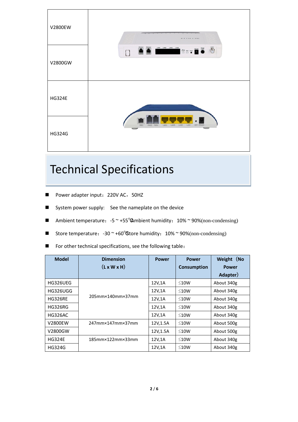

## Technical Specifications

- Power adapter input: 220V AC, 50HZ
- System power supply: See the nameplate on the device
- Ambient temperature:  $-5$   $\sim$  +55<sup>°</sup> $\Omega$ mbient humidity: 10%  $\sim$  90%(non-condensing)
- Store temperature:  $-30$   $\sim$  +60 $\degree$ Store humidity: 10%  $\sim$  90%(non-condensing)
- For other technical specifications, see the following table:

| <b>Model</b>   | <b>Dimension</b>                      | <b>Power</b> | <b>Power</b>       | Weight (No   |
|----------------|---------------------------------------|--------------|--------------------|--------------|
|                | $(L \times W \times H)$               |              | <b>Consumption</b> | <b>Power</b> |
|                |                                       |              |                    | Adapter)     |
| HG326UEG       |                                       | 12V,1A       | $\leq 10W$         | About 340g   |
| HG326UGG       | 205mm×140mm×37mm                      | 12V,1A       | $\leq 10W$         | About 340g   |
| <b>HG326RE</b> |                                       | 12V,1A       | $\leq 10W$         | About 340g   |
| <b>HG326RG</b> |                                       | 12V,1A       | $\leq 10W$         | About 340g   |
| <b>HG326AC</b> |                                       | 12V,1A       | $\leq 10W$         | About 340g   |
| V2800EW        | 247mm×147mm×37mm                      | 12V, 1.5A    | $\leq 10W$         | About 500g   |
| V2800GW        |                                       | 12V, 1.5A    | ≤10W               | About 500g   |
| <b>HG324E</b>  | $185$ mm $\times$ 122mm $\times$ 33mm | 12V,1A       | $\leq 10W$         | About 340g   |
| <b>HG324G</b>  |                                       | 12V,1A       | $\leq 10W$         | About 340g   |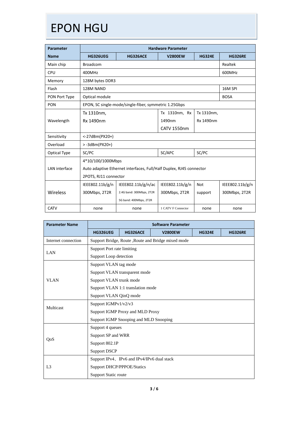## EPON HGU

| <b>Parameter</b> | <b>Hardware Parameter</b> |                                                                     |                    |               |                 |  |  |
|------------------|---------------------------|---------------------------------------------------------------------|--------------------|---------------|-----------------|--|--|
| <b>Name</b>      | <b>HG326UEG</b>           | <b>HG326ACE</b>                                                     | <b>V2800EW</b>     | <b>HG324E</b> | <b>HG326RE</b>  |  |  |
| Main chip        | <b>Broadcom</b>           |                                                                     |                    |               | Realtek         |  |  |
| <b>CPU</b>       | 400MHz                    |                                                                     |                    |               | 600MHz          |  |  |
| Memory           | 128M bytes DDR3           |                                                                     |                    |               |                 |  |  |
| Flash            | 128M NAND                 |                                                                     |                    |               | 16M SPI         |  |  |
| PON Port Type    | Optical module            |                                                                     |                    |               | <b>BOSA</b>     |  |  |
| <b>PON</b>       |                           | EPON, SC single-mode/single-fiber, symmetric 1.25Gbps               |                    |               |                 |  |  |
|                  | Tx 1310nm,                |                                                                     | Tx 1310nm, Rx      | Tx 1310nm,    |                 |  |  |
| Wavelength       | Rx 1490nm                 |                                                                     | 1490nm             | Rx 1490nm     |                 |  |  |
|                  |                           |                                                                     |                    |               |                 |  |  |
| Sensitivity      | <-27dBm(PX20+)            |                                                                     |                    |               |                 |  |  |
| Overload         | $> -3d$ Bm(PX20+)         |                                                                     |                    |               |                 |  |  |
| Optical Type     | SC/APC<br>SC/PC<br>SC/PC  |                                                                     |                    |               |                 |  |  |
|                  | 4*10/100/1000Mbps         |                                                                     |                    |               |                 |  |  |
| LAN interface    |                           | Auto adaptive Ethernet interfaces, Full/Half Duplex, RJ45 connector |                    |               |                 |  |  |
|                  | 2POTS, RJ11 connector     |                                                                     |                    |               |                 |  |  |
|                  | IEEE802.11b/g/n           | IEEE802.11b/g/n/ac                                                  | IEEE802.11b/g/n    | <b>Not</b>    | IEEE802.11b/g/n |  |  |
| Wireless         | 300Mbps, 2T2R             | 2.4G band: 300Mbps, 2T2R                                            | 300Mbps, 2T2R      | support       | 300Mbps, 2T2R   |  |  |
|                  |                           | 5G band: 400Mbps, 2T2R                                              |                    |               |                 |  |  |
| <b>CATV</b>      | none                      | none                                                                | 1 CATV F Connector | none          | none            |  |  |

| <b>Parameter Name</b> | <b>Software Parameter</b>                   |                               |                                                     |               |                |  |
|-----------------------|---------------------------------------------|-------------------------------|-----------------------------------------------------|---------------|----------------|--|
|                       | <b>HG326UEG</b>                             | <b>HG326ACE</b>               | <b>V2800EW</b>                                      | <b>HG324E</b> | <b>HG326RE</b> |  |
| Internet connection   |                                             |                               | Support Bridge, Route , Route and Bridge mixed mode |               |                |  |
|                       | Support Port rate limiting                  |                               |                                                     |               |                |  |
| <b>LAN</b>            | Support Loop detection                      |                               |                                                     |               |                |  |
|                       | Support VLAN tag mode                       |                               |                                                     |               |                |  |
|                       |                                             | Support VLAN transparent mode |                                                     |               |                |  |
| <b>VLAN</b>           | Support VLAN trunk mode                     |                               |                                                     |               |                |  |
|                       | Support VLAN 1:1 translation mode           |                               |                                                     |               |                |  |
|                       | Support VLAN QinQ mode                      |                               |                                                     |               |                |  |
|                       | Support IGMPv1/v2/v3                        |                               |                                                     |               |                |  |
| Multicast             | Support IGMP Proxy and MLD Proxy            |                               |                                                     |               |                |  |
|                       | Support IGMP Snooping and MLD Snooping      |                               |                                                     |               |                |  |
|                       | Support 4 queues                            |                               |                                                     |               |                |  |
|                       | Support SP and WRR                          |                               |                                                     |               |                |  |
| QoS                   | Support 802.1P                              |                               |                                                     |               |                |  |
|                       | <b>Support DSCP</b>                         |                               |                                                     |               |                |  |
|                       | Support IPv4, IPv6 and IPv4/IPv6 dual stack |                               |                                                     |               |                |  |
| L <sub>3</sub>        | <b>Support DHCP/PPPOE/Statics</b>           |                               |                                                     |               |                |  |
|                       | <b>Support Static route</b>                 |                               |                                                     |               |                |  |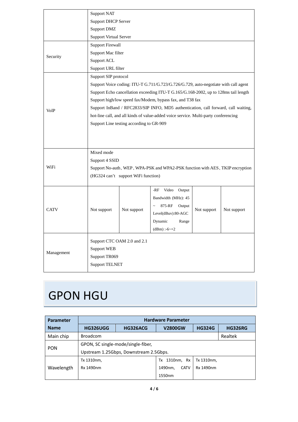|             | <b>Support NAT</b>                                                                  |             |                                                                                     |             |             |  |  |
|-------------|-------------------------------------------------------------------------------------|-------------|-------------------------------------------------------------------------------------|-------------|-------------|--|--|
|             | <b>Support DHCP Server</b>                                                          |             |                                                                                     |             |             |  |  |
|             | <b>Support DMZ</b>                                                                  |             |                                                                                     |             |             |  |  |
|             | <b>Support Virtual Server</b>                                                       |             |                                                                                     |             |             |  |  |
|             | <b>Support Firewall</b>                                                             |             |                                                                                     |             |             |  |  |
| Security    | Support Mac filter                                                                  |             |                                                                                     |             |             |  |  |
|             | Support ACL                                                                         |             |                                                                                     |             |             |  |  |
|             | Support URL filter                                                                  |             |                                                                                     |             |             |  |  |
|             | Support SIP protocol                                                                |             |                                                                                     |             |             |  |  |
|             |                                                                                     |             | Support Voice coding: ITU-T G.711/G.723/G.726/G.729, auto-negotiate with call agent |             |             |  |  |
|             |                                                                                     |             | Support Echo cancellation exceeding ITU-T G.165/G.168-2002, up to 128ms tail length |             |             |  |  |
|             |                                                                                     |             | Support high/low speed fax/Modem, bypass fax, and T38 fax                           |             |             |  |  |
| VoIP        |                                                                                     |             | Support InBand / RFC2833/SIP INFO, MD5 authentication, call forward, call waiting,  |             |             |  |  |
|             | hot-line call, and all kinds of value-added voice service. Multi-party conferencing |             |                                                                                     |             |             |  |  |
|             | Support Line testing according to GR-909                                            |             |                                                                                     |             |             |  |  |
|             |                                                                                     |             |                                                                                     |             |             |  |  |
|             |                                                                                     |             |                                                                                     |             |             |  |  |
|             |                                                                                     |             |                                                                                     |             |             |  |  |
|             | Mixed mode                                                                          |             |                                                                                     |             |             |  |  |
| WiFi        | Support 4 SSID                                                                      |             |                                                                                     |             |             |  |  |
|             | Support No-auth, WEP, WPA-PSK and WPA2-PSK function with AES, TKIP encryption       |             |                                                                                     |             |             |  |  |
|             | (HG324 can't support WiFi function)                                                 |             |                                                                                     |             |             |  |  |
|             |                                                                                     |             | Video<br>-RF<br>Output                                                              |             |             |  |  |
|             |                                                                                     |             | Bandwidth (MHz): 45                                                                 |             |             |  |  |
|             |                                                                                     |             | 875-RF<br>Output                                                                    |             |             |  |  |
| <b>CATV</b> | Not support                                                                         | Not support | Level(dBuv):80-AGC                                                                  | Not support | Not support |  |  |
|             |                                                                                     |             | Dynamic<br>Range                                                                    |             |             |  |  |
|             |                                                                                     |             | (dBm) :-6~+2                                                                        |             |             |  |  |
|             |                                                                                     |             |                                                                                     |             |             |  |  |
| Management  | Support CTC OAM 2.0 and 2.1                                                         |             |                                                                                     |             |             |  |  |
|             | Support WEB                                                                         |             |                                                                                     |             |             |  |  |
|             | Support TR069                                                                       |             |                                                                                     |             |             |  |  |
|             | <b>Support TELNET</b>                                                               |             |                                                                                     |             |             |  |  |

### GPON HGU

| <b>Parameter</b> | <b>Hardware Parameter</b>                    |                 |                        |               |                |  |  |
|------------------|----------------------------------------------|-----------------|------------------------|---------------|----------------|--|--|
| <b>Name</b>      | <b>HG326UGG</b>                              | <b>HG326ACG</b> | <b>V2800GW</b>         | <b>HG324G</b> | <b>HG326RG</b> |  |  |
| Main chip        | <b>Broadcom</b>                              |                 |                        |               | Realtek        |  |  |
|                  | GPON, SC single-mode/single-fiber,           |                 |                        |               |                |  |  |
| <b>PON</b>       | Upstream 1.25Gbps, Downstream 2.5Gbps.       |                 |                        |               |                |  |  |
|                  | 1310nm, Rx<br>Tx 1310nm,<br>Tx 1310nm,<br>Тx |                 |                        |               |                |  |  |
| Wavelength       | Rx 1490nm                                    |                 | 1490nm,<br><b>CATV</b> | Rx 1490nm     |                |  |  |
|                  |                                              |                 | 1550nm                 |               |                |  |  |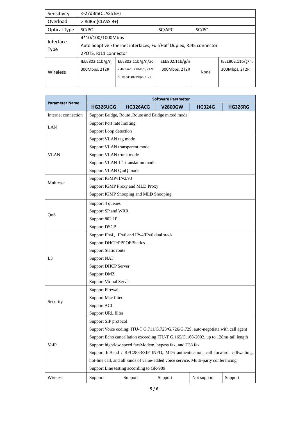| Sensitivity     | <-27dBm(CLASS B+)                                                   |                          |                 |      |                  |  |  |
|-----------------|---------------------------------------------------------------------|--------------------------|-----------------|------|------------------|--|--|
| Overload        |                                                                     | >-8dBm(CLASS B+)         |                 |      |                  |  |  |
| Optical Type    | SC/PC                                                               | SC/APC<br>SC/PC          |                 |      |                  |  |  |
|                 | 4*10/100/1000Mbps                                                   |                          |                 |      |                  |  |  |
| Interface       | Auto adaptive Ethernet interfaces, Full/Half Duplex, RJ45 connector |                          |                 |      |                  |  |  |
| Type            | 2POTS, RJ11 connector                                               |                          |                 |      |                  |  |  |
|                 | IEEE802.11b/g/n,                                                    | EEE802.11b/g/n/ac        | IEEE802.11b/g/n |      | IEEE802.11b/g/n, |  |  |
| <b>Wireless</b> | 300Mbps, 2T2R                                                       | 2.4G band: 300Mbps, 2T2R | , 300Mbps, 2T2R | None | 300Mbps, 2T2R    |  |  |
|                 |                                                                     | 5G band: 400Mbps, 2T2R   |                 |      |                  |  |  |
|                 |                                                                     |                          |                 |      |                  |  |  |

| <b>Parameter Name</b> | Software Parameter                                                                  |                                                     |                |               |                |  |  |
|-----------------------|-------------------------------------------------------------------------------------|-----------------------------------------------------|----------------|---------------|----------------|--|--|
|                       | <b>HG326UGG</b>                                                                     | HG326ACG                                            | <b>V2800GW</b> | <b>HG324G</b> | <b>HG326RG</b> |  |  |
| Internet connection   |                                                                                     | Support Bridge, Route , Route and Bridge mixed mode |                |               |                |  |  |
|                       |                                                                                     |                                                     |                |               |                |  |  |
| LAN                   | Support Loop detection                                                              |                                                     |                |               |                |  |  |
|                       | Support VLAN tag mode                                                               |                                                     |                |               |                |  |  |
|                       | Support VLAN transparent mode                                                       |                                                     |                |               |                |  |  |
| <b>VLAN</b>           | Support VLAN trunk mode                                                             |                                                     |                |               |                |  |  |
|                       |                                                                                     | Support VLAN 1:1 translation mode                   |                |               |                |  |  |
|                       | Support VLAN QinQ mode                                                              |                                                     |                |               |                |  |  |
|                       | Support IGMPv1/v2/v3                                                                |                                                     |                |               |                |  |  |
| Multicast             |                                                                                     | Support IGMP Proxy and MLD Proxy                    |                |               |                |  |  |
|                       |                                                                                     | Support IGMP Snooping and MLD Snooping              |                |               |                |  |  |
|                       | Support 4 queues                                                                    |                                                     |                |               |                |  |  |
| QoS                   | Support SP and WRR                                                                  |                                                     |                |               |                |  |  |
|                       | Support 802.1P                                                                      |                                                     |                |               |                |  |  |
|                       | <b>Support DSCP</b>                                                                 |                                                     |                |               |                |  |  |
|                       | Support IPv4, IPv6 and IPv4/IPv6 dual stack                                         |                                                     |                |               |                |  |  |
|                       | <b>Support DHCP/PPPOE/Statics</b>                                                   |                                                     |                |               |                |  |  |
|                       | Support Static route                                                                |                                                     |                |               |                |  |  |
| L3                    | <b>Support NAT</b>                                                                  |                                                     |                |               |                |  |  |
|                       | <b>Support DHCP Server</b>                                                          |                                                     |                |               |                |  |  |
|                       | Support DMZ                                                                         |                                                     |                |               |                |  |  |
|                       | <b>Support Virtual Server</b>                                                       |                                                     |                |               |                |  |  |
|                       | <b>Support Firewall</b>                                                             |                                                     |                |               |                |  |  |
| Security              | Support Mac filter                                                                  |                                                     |                |               |                |  |  |
|                       | Support ACL                                                                         |                                                     |                |               |                |  |  |
|                       | Support URL filter                                                                  |                                                     |                |               |                |  |  |
|                       | Support SIP protocol                                                                |                                                     |                |               |                |  |  |
|                       | Support Voice coding: ITU-T G.711/G.723/G.726/G.729, auto-negotiate with call agent |                                                     |                |               |                |  |  |
|                       | Support Echo cancellation exceeding ITU-T G.165/G.168-2002, up to 128ms tail length |                                                     |                |               |                |  |  |
| VoIP                  | Support high/low speed fax/Modem, bypass fax, and T38 fax                           |                                                     |                |               |                |  |  |
|                       | Support InBand / RFC2833/SIP INFO, MD5 authentication, call forward, callwaiting,   |                                                     |                |               |                |  |  |
|                       | hot-line call, and all kinds of value-added voice service. Multi-party conferencing |                                                     |                |               |                |  |  |
|                       |                                                                                     | Support Line testing according to GR-909            |                |               |                |  |  |
| Wireless              | Support                                                                             | Support                                             | Support        | Not support   | Support        |  |  |